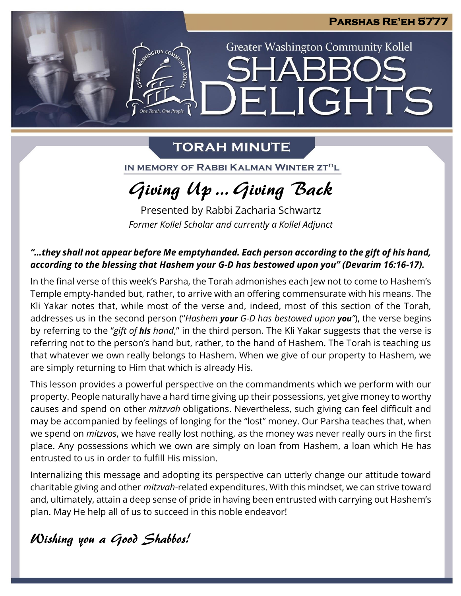### **Parshas Re'eh 5777**

**Greater Washington Community Kollel** 

ELIGHTS

## **TORAH MINUTE**

One Torah, One People

IN MEMORY OF RABBI KALMAN WINTER ZT"L

# Giving Up … Giving Back

Presented by Rabbi Zacharia Schwartz *Former Kollel Scholar and currently a Kollel Adjunct*

### *"…they shall not appear before Me emptyhanded. Each person according to the gift of his hand, according to the blessing that Hashem your G-D has bestowed upon you" (Devarim 16:16-17).*

In the final verse of this week's Parsha, the Torah admonishes each Jew not to come to Hashem's Temple empty-handed but, rather, to arrive with an offering commensurate with his means. The Kli Yakar notes that, while most of the verse and, indeed, most of this section of the Torah, addresses us in the second person ("*Hashem your G-D has bestowed upon you"*), the verse begins by referring to the "*gift of his hand*," in the third person. The Kli Yakar suggests that the verse is referring not to the person's hand but, rather, to the hand of Hashem. The Torah is teaching us that whatever we own really belongs to Hashem. When we give of our property to Hashem, we are simply returning to Him that which is already His.

This lesson provides a powerful perspective on the commandments which we perform with our property. People naturally have a hard time giving up their possessions, yet give money to worthy causes and spend on other *mitzvah* obligations. Nevertheless, such giving can feel difficult and may be accompanied by feelings of longing for the "lost" money. Our Parsha teaches that, when we spend on *mitzvos*, we have really lost nothing, as the money was never really ours in the first place. Any possessions which we own are simply on loan from Hashem, a loan which He has entrusted to us in order to fulfill His mission.

Internalizing this message and adopting its perspective can utterly change our attitude toward charitable giving and other *mitzvah*-related expenditures. With this mindset, we can strive toward and, ultimately, attain a deep sense of pride in having been entrusted with carrying out Hashem's plan. May He help all of us to succeed in this noble endeavor!

## Wishing you a Good Shabbos!